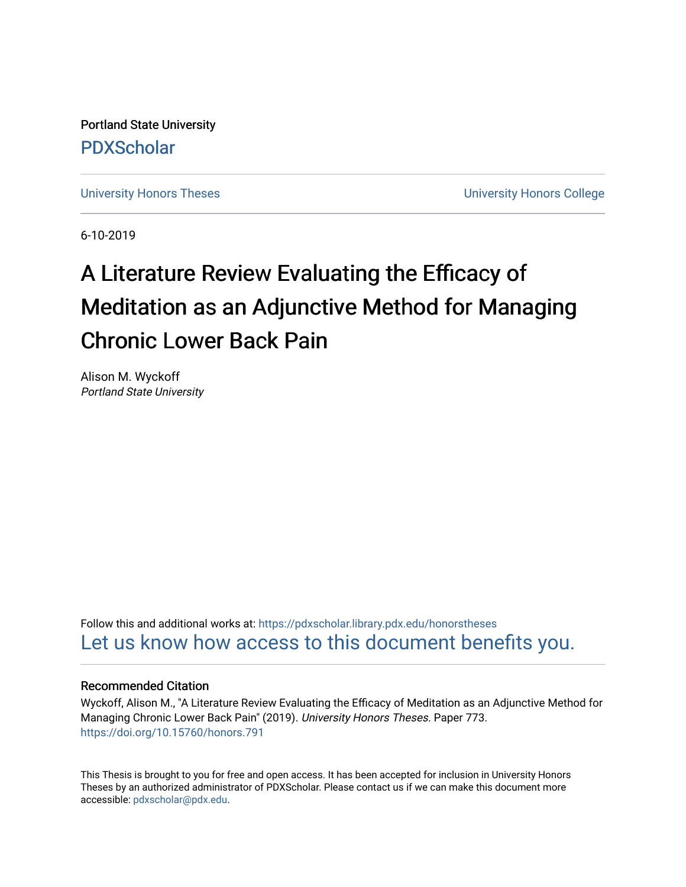Portland State University [PDXScholar](https://pdxscholar.library.pdx.edu/)

[University Honors Theses](https://pdxscholar.library.pdx.edu/honorstheses) **University Honors College** 

6-10-2019

# A Literature Review Evaluating the Efficacy of Meditation as an Adjunctive Method for Managing Chronic Lower Back Pain

Alison M. Wyckoff Portland State University

Follow this and additional works at: [https://pdxscholar.library.pdx.edu/honorstheses](https://pdxscholar.library.pdx.edu/honorstheses?utm_source=pdxscholar.library.pdx.edu%2Fhonorstheses%2F773&utm_medium=PDF&utm_campaign=PDFCoverPages)  [Let us know how access to this document benefits you.](http://library.pdx.edu/services/pdxscholar-services/pdxscholar-feedback/) 

## Recommended Citation

Wyckoff, Alison M., "A Literature Review Evaluating the Efficacy of Meditation as an Adjunctive Method for Managing Chronic Lower Back Pain" (2019). University Honors Theses. Paper 773. <https://doi.org/10.15760/honors.791>

This Thesis is brought to you for free and open access. It has been accepted for inclusion in University Honors Theses by an authorized administrator of PDXScholar. Please contact us if we can make this document more accessible: [pdxscholar@pdx.edu.](mailto:pdxscholar@pdx.edu)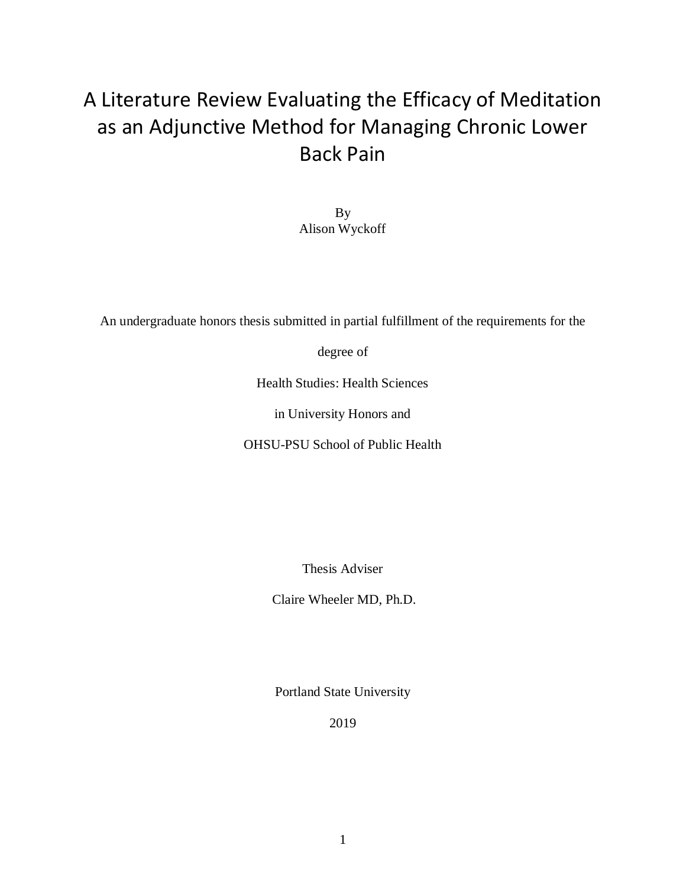## A Literature Review Evaluating the Efficacy of Meditation as an Adjunctive Method for Managing Chronic Lower Back Pain

By Alison Wyckoff

An undergraduate honors thesis submitted in partial fulfillment of the requirements for the

degree of

Health Studies: Health Sciences

in University Honors and

OHSU-PSU School of Public Health

Thesis Adviser

Claire Wheeler MD, Ph.D.

Portland State University

2019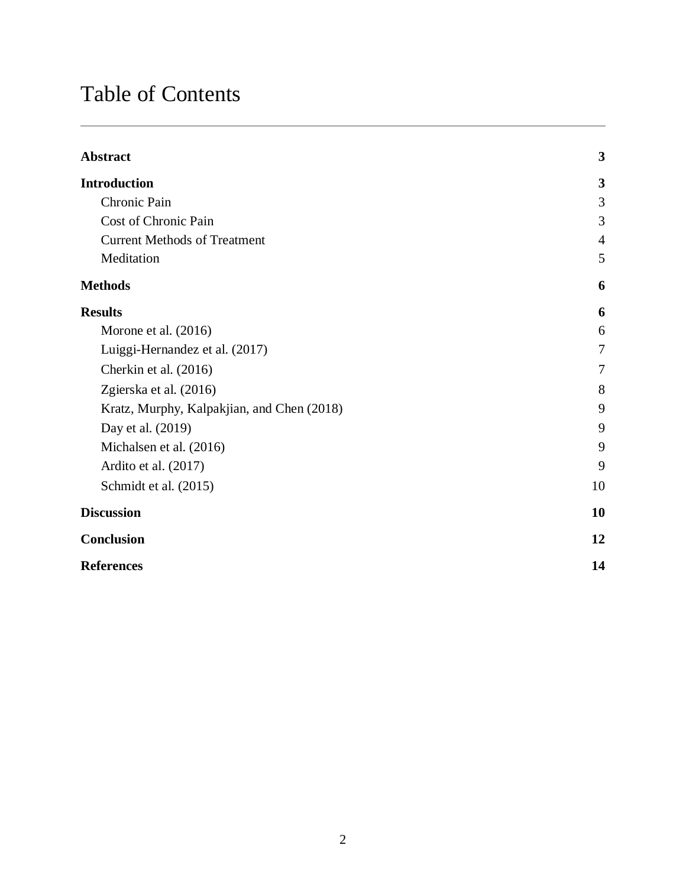## Table of Contents

| Abstract                                   | $\overline{\mathbf{3}}$ |
|--------------------------------------------|-------------------------|
| <b>Introduction</b>                        | 3                       |
| Chronic Pain                               | 3                       |
| Cost of Chronic Pain                       | 3                       |
| <b>Current Methods of Treatment</b>        | $\overline{4}$          |
| Meditation                                 | 5                       |
| <b>Methods</b>                             | 6                       |
| <b>Results</b>                             | 6                       |
| Morone et al. (2016)                       | 6                       |
| Luiggi-Hernandez et al. (2017)             | 7                       |
| Cherkin et al. (2016)                      | 7                       |
| Zgierska et al. (2016)                     | 8                       |
| Kratz, Murphy, Kalpakjian, and Chen (2018) | 9                       |
| Day et al. (2019)                          | 9                       |
| Michalsen et al. (2016)                    | 9                       |
| Ardito et al. (2017)                       | 9                       |
| Schmidt et al. (2015)                      | 10                      |
| <b>Discussion</b>                          | 10                      |
| Conclusion                                 | 12                      |
| <b>References</b>                          | 14                      |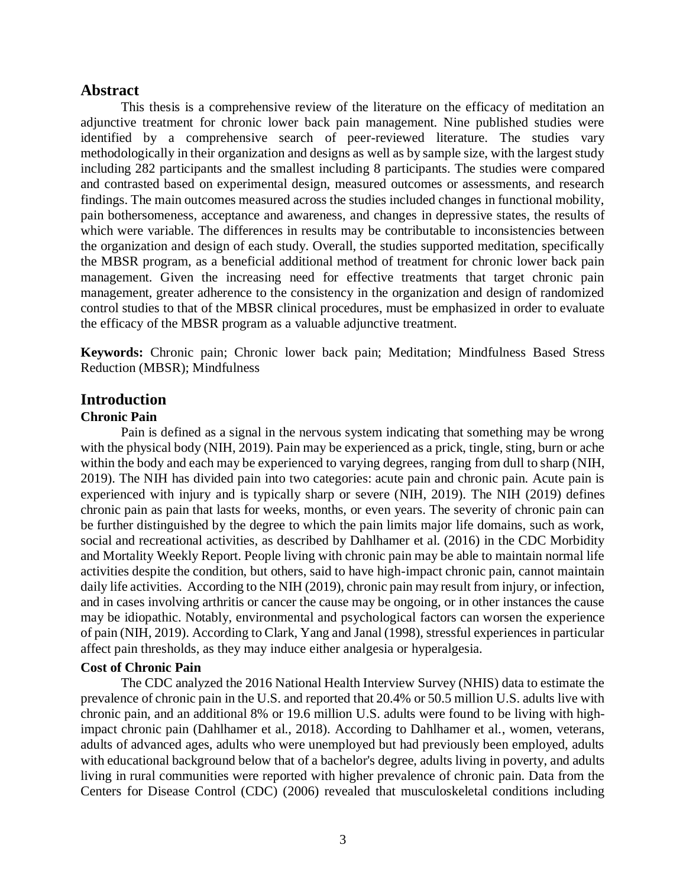## **Abstract**

This thesis is a comprehensive review of the literature on the efficacy of meditation an adjunctive treatment for chronic lower back pain management. Nine published studies were identified by a comprehensive search of peer-reviewed literature. The studies vary methodologically in their organization and designs as well as by sample size, with the largest study including 282 participants and the smallest including 8 participants. The studies were compared and contrasted based on experimental design, measured outcomes or assessments, and research findings. The main outcomes measured across the studies included changes in functional mobility, pain bothersomeness, acceptance and awareness, and changes in depressive states, the results of which were variable. The differences in results may be contributable to inconsistencies between the organization and design of each study. Overall, the studies supported meditation, specifically the MBSR program, as a beneficial additional method of treatment for chronic lower back pain management. Given the increasing need for effective treatments that target chronic pain management, greater adherence to the consistency in the organization and design of randomized control studies to that of the MBSR clinical procedures, must be emphasized in order to evaluate the efficacy of the MBSR program as a valuable adjunctive treatment.

**Keywords:** Chronic pain; Chronic lower back pain; Meditation; Mindfulness Based Stress Reduction (MBSR); Mindfulness

## **Introduction**

#### **Chronic Pain**

Pain is defined as a signal in the nervous system indicating that something may be wrong with the physical body (NIH, 2019). Pain may be experienced as a prick, tingle, sting, burn or ache within the body and each may be experienced to varying degrees, ranging from dull to sharp (NIH, 2019). The NIH has divided pain into two categories: acute pain and chronic pain. Acute pain is experienced with injury and is typically sharp or severe (NIH, 2019). The NIH (2019) defines chronic pain as pain that lasts for weeks, months, or even years. The severity of chronic pain can be further distinguished by the degree to which the pain limits major life domains, such as work, social and recreational activities, as described by Dahlhamer et al. (2016) in the CDC Morbidity and Mortality Weekly Report. People living with chronic pain may be able to maintain normal life activities despite the condition, but others, said to have high-impact chronic pain, cannot maintain daily life activities. According to the NIH (2019), chronic pain may result from injury, or infection, and in cases involving arthritis or cancer the cause may be ongoing, or in other instances the cause may be idiopathic. Notably, environmental and psychological factors can worsen the experience of pain (NIH, 2019). According to Clark, Yang and Janal (1998), stressful experiences in particular affect pain thresholds, as they may induce either analgesia or hyperalgesia.

## **Cost of Chronic Pain**

The CDC analyzed the 2016 National Health Interview Survey (NHIS) data to estimate the prevalence of chronic pain in the U.S. and reported that 20.4% or 50.5 million U.S. adults live with chronic pain, and an additional 8% or 19.6 million U.S. adults were found to be living with highimpact chronic pain (Dahlhamer et al., 2018). According to Dahlhamer et al., women, veterans, adults of advanced ages, adults who were unemployed but had previously been employed, adults with educational background below that of a bachelor's degree, adults living in poverty, and adults living in rural communities were reported with higher prevalence of chronic pain. Data from the Centers for Disease Control (CDC) (2006) revealed that musculoskeletal conditions including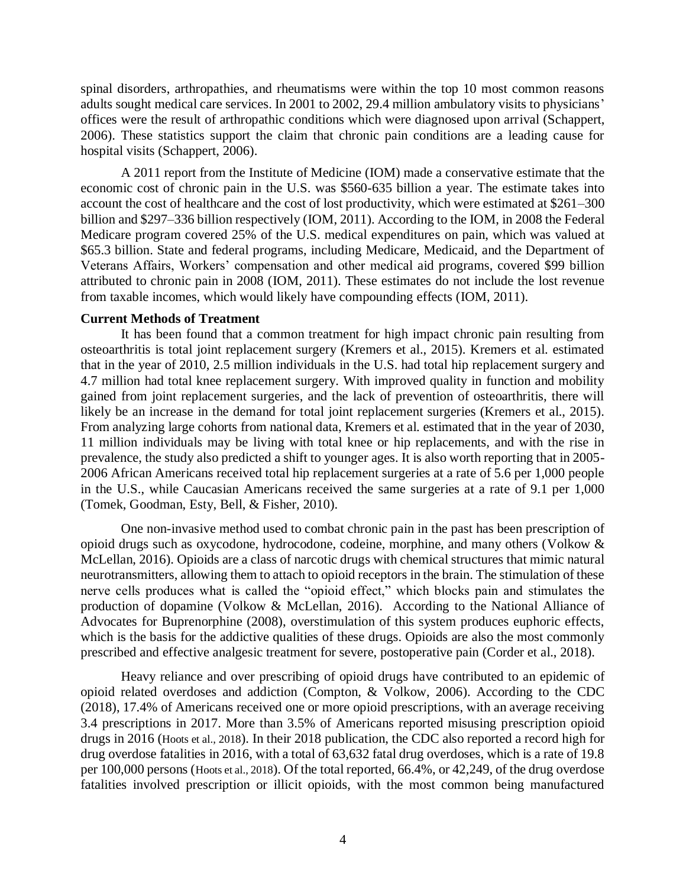spinal disorders, arthropathies, and rheumatisms were within the top 10 most common reasons adults sought medical care services. In 2001 to 2002, 29.4 million ambulatory visits to physicians' offices were the result of arthropathic conditions which were diagnosed upon arrival (Schappert, 2006). These statistics support the claim that chronic pain conditions are a leading cause for hospital visits (Schappert, 2006).

A 2011 report from the Institute of Medicine (IOM) made a conservative estimate that the economic cost of chronic pain in the U.S. was \$560-635 billion a year. The estimate takes into account the cost of healthcare and the cost of lost productivity, which were estimated at \$261–300 billion and \$297–336 billion respectively (IOM, 2011). According to the IOM, in 2008 the Federal Medicare program covered 25% of the U.S. medical expenditures on pain, which was valued at \$65.3 billion. State and federal programs, including Medicare, Medicaid, and the Department of Veterans Affairs, Workers' compensation and other medical aid programs, covered \$99 billion attributed to chronic pain in 2008 (IOM, 2011). These estimates do not include the lost revenue from taxable incomes, which would likely have compounding effects (IOM, 2011).

#### **Current Methods of Treatment**

It has been found that a common treatment for high impact chronic pain resulting from osteoarthritis is total joint replacement surgery (Kremers et al., 2015). Kremers et al. estimated that in the year of 2010, 2.5 million individuals in the U.S. had total hip replacement surgery and 4.7 million had total knee replacement surgery. With improved quality in function and mobility gained from joint replacement surgeries, and the lack of prevention of osteoarthritis, there will likely be an increase in the demand for total joint replacement surgeries (Kremers et al., 2015). From analyzing large cohorts from national data, Kremers et al. estimated that in the year of 2030, 11 million individuals may be living with total knee or hip replacements, and with the rise in prevalence, the study also predicted a shift to younger ages. It is also worth reporting that in 2005- 2006 African Americans received total hip replacement surgeries at a rate of 5.6 per 1,000 people in the U.S., while Caucasian Americans received the same surgeries at a rate of 9.1 per 1,000 (Tomek, Goodman, Esty, Bell, & Fisher, 2010).

One non-invasive method used to combat chronic pain in the past has been prescription of opioid drugs such as oxycodone, hydrocodone, codeine, morphine, and many others (Volkow & McLellan, 2016). Opioids are a class of narcotic drugs with chemical structures that mimic natural neurotransmitters, allowing them to attach to opioid receptors in the brain. The stimulation of these nerve cells produces what is called the "opioid effect," which blocks pain and stimulates the production of dopamine (Volkow & McLellan, 2016). According to the National Alliance of Advocates for Buprenorphine (2008), overstimulation of this system produces euphoric effects, which is the basis for the addictive qualities of these drugs. Opioids are also the most commonly prescribed and effective analgesic treatment for severe, postoperative pain (Corder et al., 2018).

Heavy reliance and over prescribing of opioid drugs have contributed to an epidemic of opioid related overdoses and addiction (Compton, & Volkow, 2006). According to the CDC (2018), 17.4% of Americans received one or more opioid prescriptions, with an average receiving 3.4 prescriptions in 2017. More than 3.5% of Americans reported misusing prescription opioid drugs in 2016 (Hoots et al., 2018). In their 2018 publication, the CDC also reported a record high for drug overdose fatalities in 2016, with a total of 63,632 fatal drug overdoses, which is a rate of 19.8 per 100,000 persons (Hoots et al., 2018). Of the total reported, 66.4%, or 42,249, of the drug overdose fatalities involved prescription or illicit opioids, with the most common being manufactured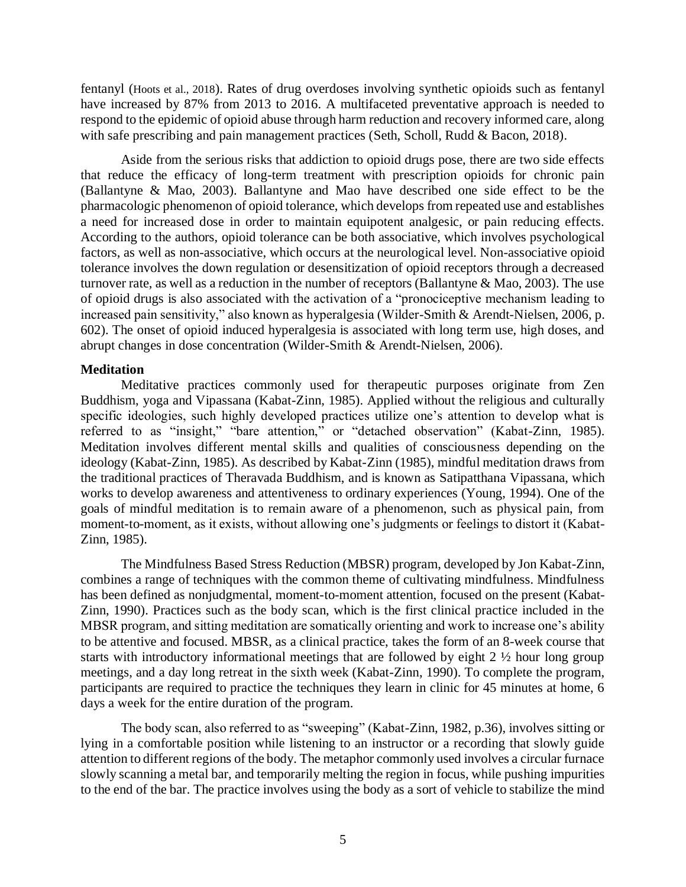fentanyl (Hoots et al., 2018). Rates of drug overdoses involving synthetic opioids such as fentanyl have increased by 87% from 2013 to 2016. A multifaceted preventative approach is needed to respond to the epidemic of opioid abuse through harm reduction and recovery informed care, along with safe prescribing and pain management practices (Seth, Scholl, Rudd & Bacon, 2018).

Aside from the serious risks that addiction to opioid drugs pose, there are two side effects that reduce the efficacy of long-term treatment with prescription opioids for chronic pain (Ballantyne & Mao, 2003). Ballantyne and Mao have described one side effect to be the pharmacologic phenomenon of opioid tolerance, which develops from repeated use and establishes a need for increased dose in order to maintain equipotent analgesic, or pain reducing effects. According to the authors, opioid tolerance can be both associative, which involves psychological factors, as well as non-associative, which occurs at the neurological level. Non-associative opioid tolerance involves the down regulation or desensitization of opioid receptors through a decreased turnover rate, as well as a reduction in the number of receptors (Ballantyne & Mao, 2003). The use of opioid drugs is also associated with the activation of a "pronociceptive mechanism leading to increased pain sensitivity," also known as hyperalgesia (Wilder-Smith & Arendt-Nielsen, 2006, p. 602). The onset of opioid induced hyperalgesia is associated with long term use, high doses, and abrupt changes in dose concentration (Wilder-Smith & Arendt-Nielsen, 2006).

### **Meditation**

Meditative practices commonly used for therapeutic purposes originate from Zen Buddhism, yoga and Vipassana (Kabat-Zinn, 1985). Applied without the religious and culturally specific ideologies, such highly developed practices utilize one's attention to develop what is referred to as "insight," "bare attention," or "detached observation" (Kabat-Zinn, 1985). Meditation involves different mental skills and qualities of consciousness depending on the ideology (Kabat-Zinn, 1985). As described by Kabat-Zinn (1985), mindful meditation draws from the traditional practices of Theravada Buddhism, and is known as Satipatthana Vipassana, which works to develop awareness and attentiveness to ordinary experiences (Young, 1994). One of the goals of mindful meditation is to remain aware of a phenomenon, such as physical pain, from moment-to-moment, as it exists, without allowing one's judgments or feelings to distort it (Kabat-Zinn, 1985).

The Mindfulness Based Stress Reduction (MBSR) program, developed by Jon Kabat-Zinn, combines a range of techniques with the common theme of cultivating mindfulness. Mindfulness has been defined as nonjudgmental, moment-to-moment attention, focused on the present (Kabat-Zinn, 1990). Practices such as the body scan, which is the first clinical practice included in the MBSR program, and sitting meditation are somatically orienting and work to increase one's ability to be attentive and focused. MBSR, as a clinical practice, takes the form of an 8-week course that starts with introductory informational meetings that are followed by eight 2 ½ hour long group meetings, and a day long retreat in the sixth week (Kabat-Zinn, 1990). To complete the program, participants are required to practice the techniques they learn in clinic for 45 minutes at home, 6 days a week for the entire duration of the program.

The body scan, also referred to as "sweeping" (Kabat-Zinn, 1982, p.36), involves sitting or lying in a comfortable position while listening to an instructor or a recording that slowly guide attention to different regions of the body. The metaphor commonly used involves a circular furnace slowly scanning a metal bar, and temporarily melting the region in focus, while pushing impurities to the end of the bar. The practice involves using the body as a sort of vehicle to stabilize the mind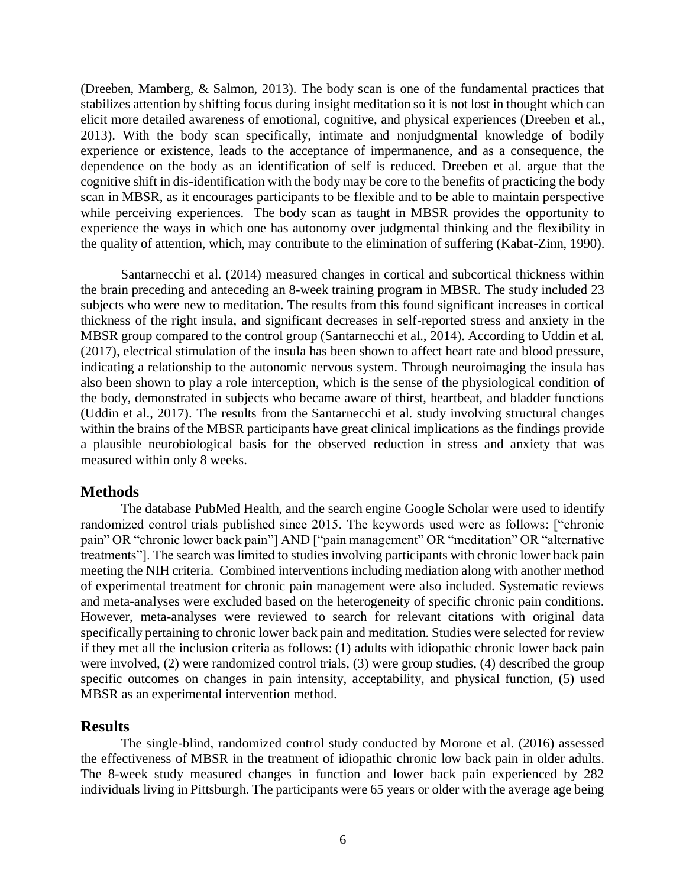(Dreeben, Mamberg, & Salmon, 2013). The body scan is one of the fundamental practices that stabilizes attention by shifting focus during insight meditation so it is not lost in thought which can elicit more detailed awareness of emotional, cognitive, and physical experiences (Dreeben et al., 2013). With the body scan specifically, intimate and nonjudgmental knowledge of bodily experience or existence, leads to the acceptance of impermanence, and as a consequence, the dependence on the body as an identification of self is reduced. Dreeben et al. argue that the cognitive shift in dis-identification with the body may be core to the benefits of practicing the body scan in MBSR, as it encourages participants to be flexible and to be able to maintain perspective while perceiving experiences. The body scan as taught in MBSR provides the opportunity to experience the ways in which one has autonomy over judgmental thinking and the flexibility in the quality of attention, which, may contribute to the elimination of suffering (Kabat-Zinn, 1990).

Santarnecchi et al. (2014) measured changes in cortical and subcortical thickness within the brain preceding and anteceding an 8-week training program in MBSR. The study included 23 subjects who were new to meditation. The results from this found significant increases in cortical thickness of the right insula, and significant decreases in self-reported stress and anxiety in the MBSR group compared to the control group (Santarnecchi et al., 2014). According to Uddin et al. (2017), electrical stimulation of the insula has been shown to affect heart rate and blood pressure, indicating a relationship to the autonomic nervous system. Through neuroimaging the insula has also been shown to play a role interception, which is the sense of the physiological condition of the body, demonstrated in subjects who became aware of thirst, heartbeat, and bladder functions (Uddin et al., 2017). The results from the Santarnecchi et al. study involving structural changes within the brains of the MBSR participants have great clinical implications as the findings provide a plausible neurobiological basis for the observed reduction in stress and anxiety that was measured within only 8 weeks.

## **Methods**

The database PubMed Health, and the search engine Google Scholar were used to identify randomized control trials published since 2015. The keywords used were as follows: ["chronic pain" OR "chronic lower back pain"] AND ["pain management" OR "meditation" OR "alternative treatments"]. The search was limited to studies involving participants with chronic lower back pain meeting the NIH criteria. Combined interventions including mediation along with another method of experimental treatment for chronic pain management were also included. Systematic reviews and meta-analyses were excluded based on the heterogeneity of specific chronic pain conditions. However, meta-analyses were reviewed to search for relevant citations with original data specifically pertaining to chronic lower back pain and meditation. Studies were selected for review if they met all the inclusion criteria as follows: (1) adults with idiopathic chronic lower back pain were involved, (2) were randomized control trials, (3) were group studies, (4) described the group specific outcomes on changes in pain intensity, acceptability, and physical function, (5) used MBSR as an experimental intervention method.

## **Results**

The single-blind, randomized control study conducted by Morone et al. (2016) assessed the effectiveness of MBSR in the treatment of idiopathic chronic low back pain in older adults. The 8-week study measured changes in function and lower back pain experienced by 282 individuals living in Pittsburgh. The participants were 65 years or older with the average age being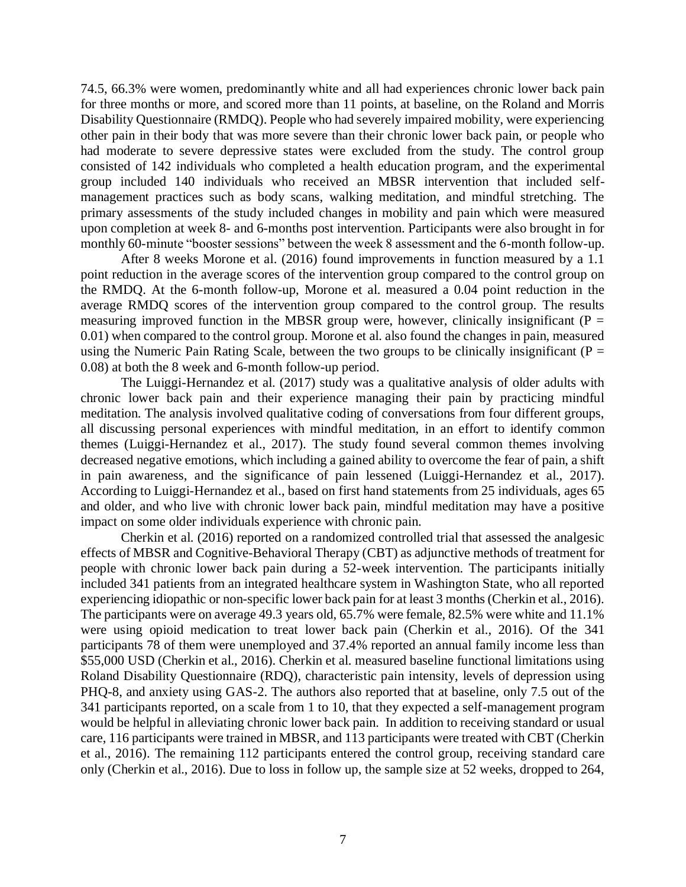74.5, 66.3% were women, predominantly white and all had experiences chronic lower back pain for three months or more, and scored more than 11 points, at baseline, on the Roland and Morris Disability Questionnaire (RMDQ). People who had severely impaired mobility, were experiencing other pain in their body that was more severe than their chronic lower back pain, or people who had moderate to severe depressive states were excluded from the study. The control group consisted of 142 individuals who completed a health education program, and the experimental group included 140 individuals who received an MBSR intervention that included selfmanagement practices such as body scans, walking meditation, and mindful stretching. The primary assessments of the study included changes in mobility and pain which were measured upon completion at week 8- and 6-months post intervention. Participants were also brought in for monthly 60-minute "booster sessions" between the week 8 assessment and the 6-month follow-up.

After 8 weeks Morone et al. (2016) found improvements in function measured by a 1.1 point reduction in the average scores of the intervention group compared to the control group on the RMDQ. At the 6-month follow-up, Morone et al. measured a 0.04 point reduction in the average RMDQ scores of the intervention group compared to the control group. The results measuring improved function in the MBSR group were, however, clinically insignificant ( $P =$ 0.01) when compared to the control group. Morone et al. also found the changes in pain, measured using the Numeric Pain Rating Scale, between the two groups to be clinically insignificant ( $P =$ 0.08) at both the 8 week and 6-month follow-up period.

The Luiggi-Hernandez et al. (2017) study was a qualitative analysis of older adults with chronic lower back pain and their experience managing their pain by practicing mindful meditation. The analysis involved qualitative coding of conversations from four different groups, all discussing personal experiences with mindful meditation, in an effort to identify common themes (Luiggi-Hernandez et al., 2017). The study found several common themes involving decreased negative emotions, which including a gained ability to overcome the fear of pain, a shift in pain awareness, and the significance of pain lessened (Luiggi-Hernandez et al., 2017). According to Luiggi-Hernandez et al., based on first hand statements from 25 individuals, ages 65 and older, and who live with chronic lower back pain, mindful meditation may have a positive impact on some older individuals experience with chronic pain.

Cherkin et al. (2016) reported on a randomized controlled trial that assessed the analgesic effects of MBSR and Cognitive-Behavioral Therapy (CBT) as adjunctive methods of treatment for people with chronic lower back pain during a 52-week intervention. The participants initially included 341 patients from an integrated healthcare system in Washington State, who all reported experiencing idiopathic or non-specific lower back pain for at least 3 months (Cherkin et al., 2016). The participants were on average 49.3 years old, 65.7% were female, 82.5% were white and 11.1% were using opioid medication to treat lower back pain (Cherkin et al., 2016). Of the 341 participants 78 of them were unemployed and 37.4% reported an annual family income less than \$55,000 USD (Cherkin et al., 2016). Cherkin et al. measured baseline functional limitations using Roland Disability Questionnaire (RDQ), characteristic pain intensity, levels of depression using PHQ-8, and anxiety using GAS-2. The authors also reported that at baseline, only 7.5 out of the 341 participants reported, on a scale from 1 to 10, that they expected a self-management program would be helpful in alleviating chronic lower back pain. In addition to receiving standard or usual care, 116 participants were trained in MBSR, and 113 participants were treated with CBT (Cherkin et al., 2016). The remaining 112 participants entered the control group, receiving standard care only (Cherkin et al., 2016). Due to loss in follow up, the sample size at 52 weeks, dropped to 264,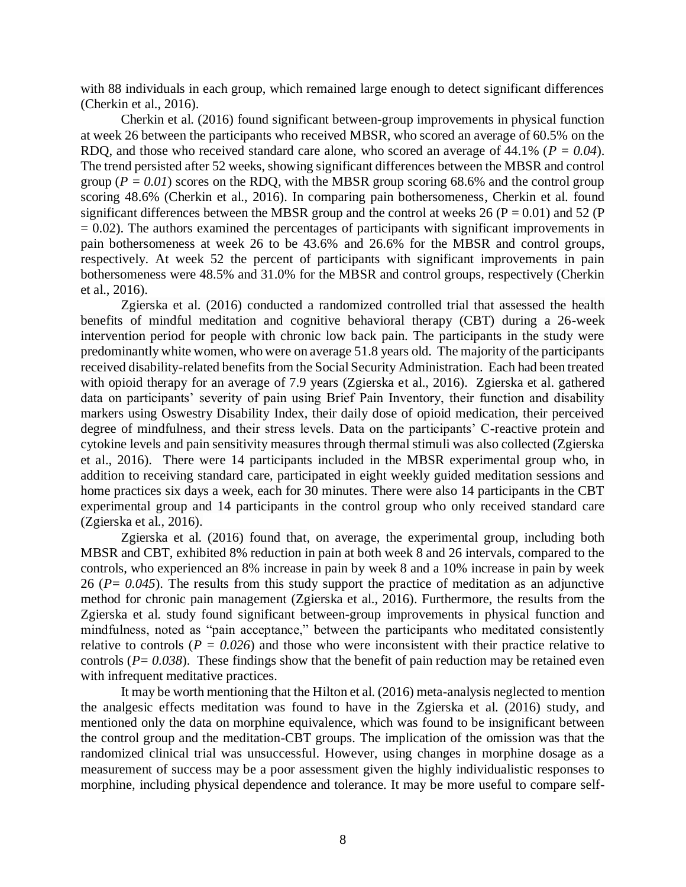with 88 individuals in each group, which remained large enough to detect significant differences (Cherkin et al., 2016).

Cherkin et al. (2016) found significant between-group improvements in physical function at week 26 between the participants who received MBSR, who scored an average of 60.5% on the RDQ, and those who received standard care alone, who scored an average of 44.1% (*P = 0.04*). The trend persisted after 52 weeks, showing significant differences between the MBSR and control group ( $P = 0.01$ ) scores on the RDQ, with the MBSR group scoring 68.6% and the control group scoring 48.6% (Cherkin et al., 2016). In comparing pain bothersomeness, Cherkin et al. found significant differences between the MBSR group and the control at weeks 26 ( $P = 0.01$ ) and 52 (P  $= 0.02$ ). The authors examined the percentages of participants with significant improvements in pain bothersomeness at week 26 to be 43.6% and 26.6% for the MBSR and control groups, respectively. At week 52 the percent of participants with significant improvements in pain bothersomeness were 48.5% and 31.0% for the MBSR and control groups, respectively (Cherkin et al., 2016).

Zgierska et al. (2016) conducted a randomized controlled trial that assessed the health benefits of mindful meditation and cognitive behavioral therapy (CBT) during a 26-week intervention period for people with chronic low back pain. The participants in the study were predominantly white women, who were on average 51.8 years old. The majority of the participants received disability-related benefits from the Social Security Administration. Each had been treated with opioid therapy for an average of 7.9 years (Zgierska et al., 2016). Zgierska et al. gathered data on participants' severity of pain using Brief Pain Inventory, their function and disability markers using Oswestry Disability Index, their daily dose of opioid medication, their perceived degree of mindfulness, and their stress levels. Data on the participants' C-reactive protein and cytokine levels and pain sensitivity measures through thermal stimuli was also collected (Zgierska et al., 2016). There were 14 participants included in the MBSR experimental group who, in addition to receiving standard care, participated in eight weekly guided meditation sessions and home practices six days a week, each for 30 minutes. There were also 14 participants in the CBT experimental group and 14 participants in the control group who only received standard care (Zgierska et al., 2016).

Zgierska et al. (2016) found that, on average, the experimental group, including both MBSR and CBT, exhibited 8% reduction in pain at both week 8 and 26 intervals, compared to the controls, who experienced an 8% increase in pain by week 8 and a 10% increase in pain by week 26 (*P= 0.045*). The results from this study support the practice of meditation as an adjunctive method for chronic pain management (Zgierska et al., 2016). Furthermore, the results from the Zgierska et al. study found significant between-group improvements in physical function and mindfulness, noted as "pain acceptance," between the participants who meditated consistently relative to controls ( $P = 0.026$ ) and those who were inconsistent with their practice relative to controls ( $P = 0.038$ ). These findings show that the benefit of pain reduction may be retained even with infrequent meditative practices.

It may be worth mentioning that the Hilton et al. (2016) meta-analysis neglected to mention the analgesic effects meditation was found to have in the Zgierska et al. (2016) study, and mentioned only the data on morphine equivalence, which was found to be insignificant between the control group and the meditation-CBT groups. The implication of the omission was that the randomized clinical trial was unsuccessful. However, using changes in morphine dosage as a measurement of success may be a poor assessment given the highly individualistic responses to morphine, including physical dependence and tolerance. It may be more useful to compare self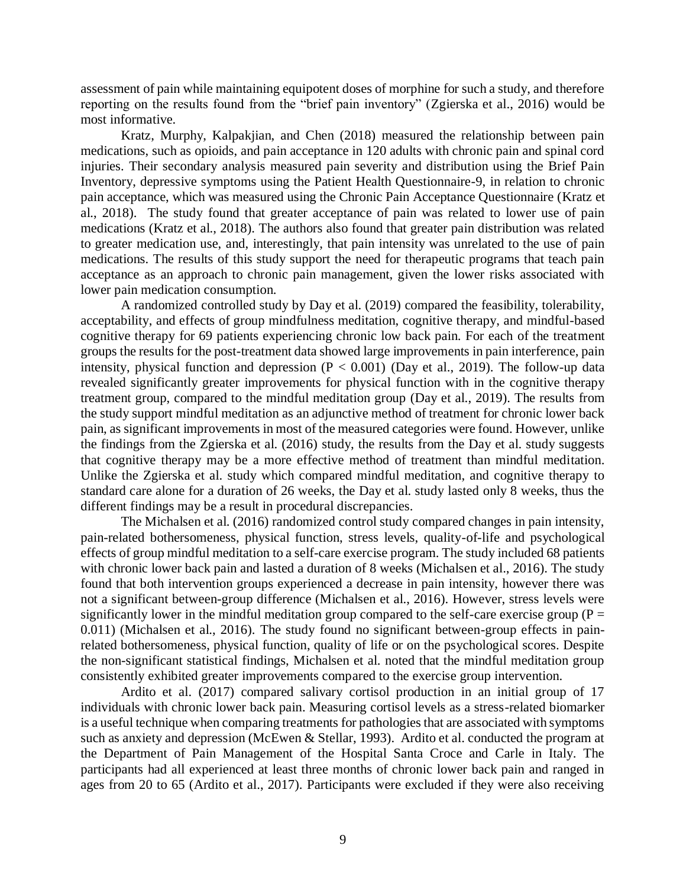assessment of pain while maintaining equipotent doses of morphine for such a study, and therefore reporting on the results found from the "brief pain inventory" (Zgierska et al., 2016) would be most informative.

Kratz, Murphy, Kalpakjian, and Chen (2018) measured the relationship between pain medications, such as opioids, and pain acceptance in 120 adults with chronic pain and spinal cord injuries. Their secondary analysis measured pain severity and distribution using the Brief Pain Inventory, depressive symptoms using the Patient Health Questionnaire-9, in relation to chronic pain acceptance, which was measured using the Chronic Pain Acceptance Questionnaire (Kratz et al., 2018). The study found that greater acceptance of pain was related to lower use of pain medications (Kratz et al., 2018). The authors also found that greater pain distribution was related to greater medication use, and, interestingly, that pain intensity was unrelated to the use of pain medications. The results of this study support the need for therapeutic programs that teach pain acceptance as an approach to chronic pain management, given the lower risks associated with lower pain medication consumption.

A randomized controlled study by Day et al. (2019) compared the feasibility, tolerability, acceptability, and effects of group mindfulness meditation, cognitive therapy, and mindful-based cognitive therapy for 69 patients experiencing chronic low back pain. For each of the treatment groups the results for the post-treatment data showed large improvements in pain interference, pain intensity, physical function and depression  $(P < 0.001)$  (Day et al., 2019). The follow-up data revealed significantly greater improvements for physical function with in the cognitive therapy treatment group, compared to the mindful meditation group (Day et al., 2019). The results from the study support mindful meditation as an adjunctive method of treatment for chronic lower back pain, as significant improvements in most of the measured categories were found. However, unlike the findings from the Zgierska et al. (2016) study, the results from the Day et al. study suggests that cognitive therapy may be a more effective method of treatment than mindful meditation. Unlike the Zgierska et al. study which compared mindful meditation, and cognitive therapy to standard care alone for a duration of 26 weeks, the Day et al. study lasted only 8 weeks, thus the different findings may be a result in procedural discrepancies.

The Michalsen et al. (2016) randomized control study compared changes in pain intensity, pain-related bothersomeness, physical function, stress levels, quality-of-life and psychological effects of group mindful meditation to a self-care exercise program. The study included 68 patients with chronic lower back pain and lasted a duration of 8 weeks (Michalsen et al., 2016). The study found that both intervention groups experienced a decrease in pain intensity, however there was not a significant between-group difference (Michalsen et al., 2016). However, stress levels were significantly lower in the mindful meditation group compared to the self-care exercise group ( $P =$ 0.011) (Michalsen et al., 2016). The study found no significant between-group effects in painrelated bothersomeness, physical function, quality of life or on the psychological scores. Despite the non-significant statistical findings, Michalsen et al. noted that the mindful meditation group consistently exhibited greater improvements compared to the exercise group intervention.

Ardito et al. (2017) compared salivary cortisol production in an initial group of 17 individuals with chronic lower back pain. Measuring cortisol levels as a stress-related biomarker is a useful technique when comparing treatments for pathologies that are associated with symptoms such as anxiety and depression (McEwen & Stellar, 1993). Ardito et al. conducted the program at the Department of Pain Management of the Hospital Santa Croce and Carle in Italy. The participants had all experienced at least three months of chronic lower back pain and ranged in ages from 20 to 65 (Ardito et al., 2017). Participants were excluded if they were also receiving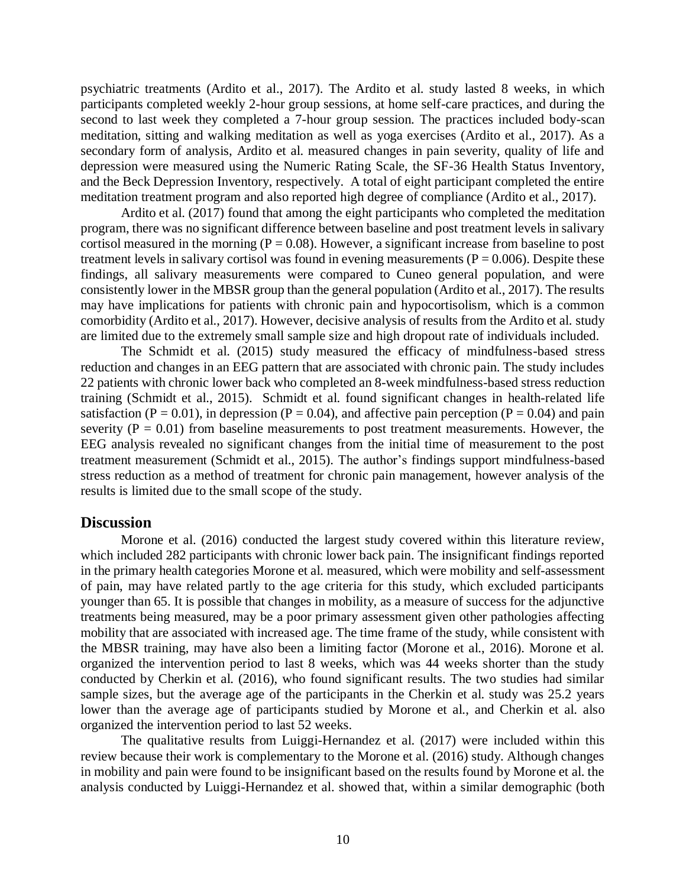psychiatric treatments (Ardito et al., 2017). The Ardito et al. study lasted 8 weeks, in which participants completed weekly 2-hour group sessions, at home self-care practices, and during the second to last week they completed a 7-hour group session. The practices included body-scan meditation, sitting and walking meditation as well as yoga exercises (Ardito et al., 2017). As a secondary form of analysis, Ardito et al. measured changes in pain severity, quality of life and depression were measured using the Numeric Rating Scale, the SF-36 Health Status Inventory, and the Beck Depression Inventory, respectively. A total of eight participant completed the entire meditation treatment program and also reported high degree of compliance (Ardito et al., 2017).

Ardito et al. (2017) found that among the eight participants who completed the meditation program, there was no significant difference between baseline and post treatment levels in salivary cortisol measured in the morning ( $P = 0.08$ ). However, a significant increase from baseline to post treatment levels in salivary cortisol was found in evening measurements ( $P = 0.006$ ). Despite these findings, all salivary measurements were compared to Cuneo general population, and were consistently lower in the MBSR group than the general population (Ardito et al., 2017). The results may have implications for patients with chronic pain and hypocortisolism, which is a common comorbidity (Ardito et al., 2017). However, decisive analysis of results from the Ardito et al. study are limited due to the extremely small sample size and high dropout rate of individuals included.

The Schmidt et al. (2015) study measured the efficacy of mindfulness-based stress reduction and changes in an EEG pattern that are associated with chronic pain. The study includes 22 patients with chronic lower back who completed an 8-week mindfulness-based stress reduction training (Schmidt et al., 2015). Schmidt et al. found significant changes in health-related life satisfaction ( $P = 0.01$ ), in depression ( $P = 0.04$ ), and affective pain perception ( $P = 0.04$ ) and pain severity ( $P = 0.01$ ) from baseline measurements to post treatment measurements. However, the EEG analysis revealed no significant changes from the initial time of measurement to the post treatment measurement (Schmidt et al., 2015). The author's findings support mindfulness-based stress reduction as a method of treatment for chronic pain management, however analysis of the results is limited due to the small scope of the study.

#### **Discussion**

Morone et al. (2016) conducted the largest study covered within this literature review, which included 282 participants with chronic lower back pain. The insignificant findings reported in the primary health categories Morone et al. measured, which were mobility and self-assessment of pain, may have related partly to the age criteria for this study, which excluded participants younger than 65. It is possible that changes in mobility, as a measure of success for the adjunctive treatments being measured, may be a poor primary assessment given other pathologies affecting mobility that are associated with increased age. The time frame of the study, while consistent with the MBSR training, may have also been a limiting factor (Morone et al., 2016). Morone et al. organized the intervention period to last 8 weeks, which was 44 weeks shorter than the study conducted by Cherkin et al. (2016), who found significant results. The two studies had similar sample sizes, but the average age of the participants in the Cherkin et al. study was 25.2 years lower than the average age of participants studied by Morone et al., and Cherkin et al. also organized the intervention period to last 52 weeks.

The qualitative results from Luiggi-Hernandez et al. (2017) were included within this review because their work is complementary to the Morone et al. (2016) study. Although changes in mobility and pain were found to be insignificant based on the results found by Morone et al. the analysis conducted by Luiggi-Hernandez et al. showed that, within a similar demographic (both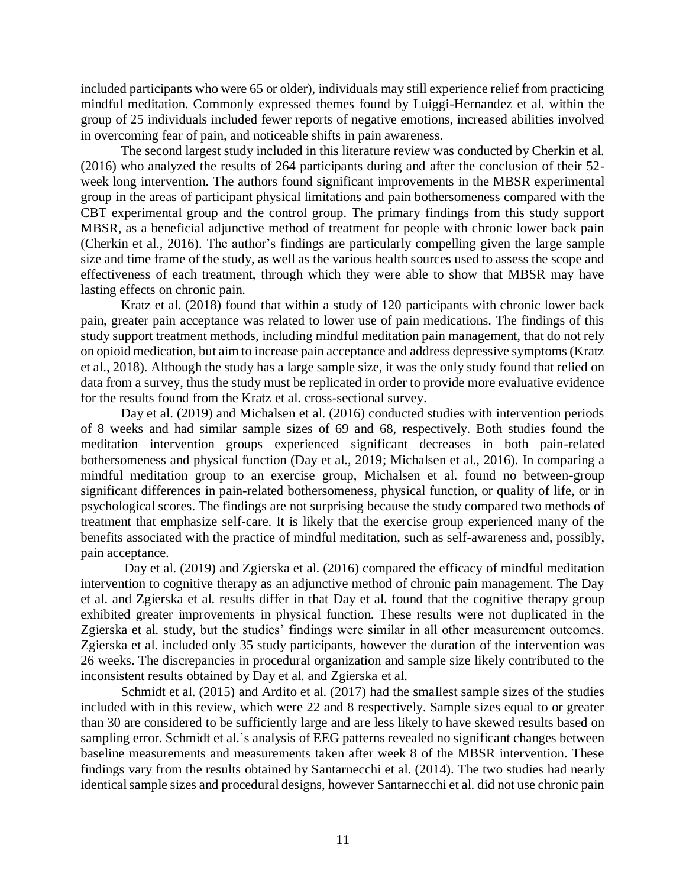included participants who were 65 or older), individuals may still experience relief from practicing mindful meditation. Commonly expressed themes found by Luiggi-Hernandez et al. within the group of 25 individuals included fewer reports of negative emotions, increased abilities involved in overcoming fear of pain, and noticeable shifts in pain awareness.

The second largest study included in this literature review was conducted by Cherkin et al. (2016) who analyzed the results of 264 participants during and after the conclusion of their 52 week long intervention. The authors found significant improvements in the MBSR experimental group in the areas of participant physical limitations and pain bothersomeness compared with the CBT experimental group and the control group. The primary findings from this study support MBSR, as a beneficial adjunctive method of treatment for people with chronic lower back pain (Cherkin et al., 2016). The author's findings are particularly compelling given the large sample size and time frame of the study, as well as the various health sources used to assess the scope and effectiveness of each treatment, through which they were able to show that MBSR may have lasting effects on chronic pain.

Kratz et al. (2018) found that within a study of 120 participants with chronic lower back pain, greater pain acceptance was related to lower use of pain medications. The findings of this study support treatment methods, including mindful meditation pain management, that do not rely on opioid medication, but aim to increase pain acceptance and address depressive symptoms (Kratz et al., 2018). Although the study has a large sample size, it was the only study found that relied on data from a survey, thus the study must be replicated in order to provide more evaluative evidence for the results found from the Kratz et al. cross-sectional survey.

Day et al. (2019) and Michalsen et al. (2016) conducted studies with intervention periods of 8 weeks and had similar sample sizes of 69 and 68, respectively. Both studies found the meditation intervention groups experienced significant decreases in both pain-related bothersomeness and physical function (Day et al., 2019; Michalsen et al., 2016). In comparing a mindful meditation group to an exercise group, Michalsen et al. found no between-group significant differences in pain-related bothersomeness, physical function, or quality of life, or in psychological scores. The findings are not surprising because the study compared two methods of treatment that emphasize self-care. It is likely that the exercise group experienced many of the benefits associated with the practice of mindful meditation, such as self-awareness and, possibly, pain acceptance.

Day et al. (2019) and Zgierska et al. (2016) compared the efficacy of mindful meditation intervention to cognitive therapy as an adjunctive method of chronic pain management. The Day et al. and Zgierska et al. results differ in that Day et al. found that the cognitive therapy group exhibited greater improvements in physical function. These results were not duplicated in the Zgierska et al. study, but the studies' findings were similar in all other measurement outcomes. Zgierska et al. included only 35 study participants, however the duration of the intervention was 26 weeks. The discrepancies in procedural organization and sample size likely contributed to the inconsistent results obtained by Day et al. and Zgierska et al.

Schmidt et al. (2015) and Ardito et al. (2017) had the smallest sample sizes of the studies included with in this review, which were 22 and 8 respectively. Sample sizes equal to or greater than 30 are considered to be sufficiently large and are less likely to have skewed results based on sampling error. Schmidt et al.'s analysis of EEG patterns revealed no significant changes between baseline measurements and measurements taken after week 8 of the MBSR intervention. These findings vary from the results obtained by Santarnecchi et al. (2014). The two studies had nearly identical sample sizes and procedural designs, however Santarnecchi et al. did not use chronic pain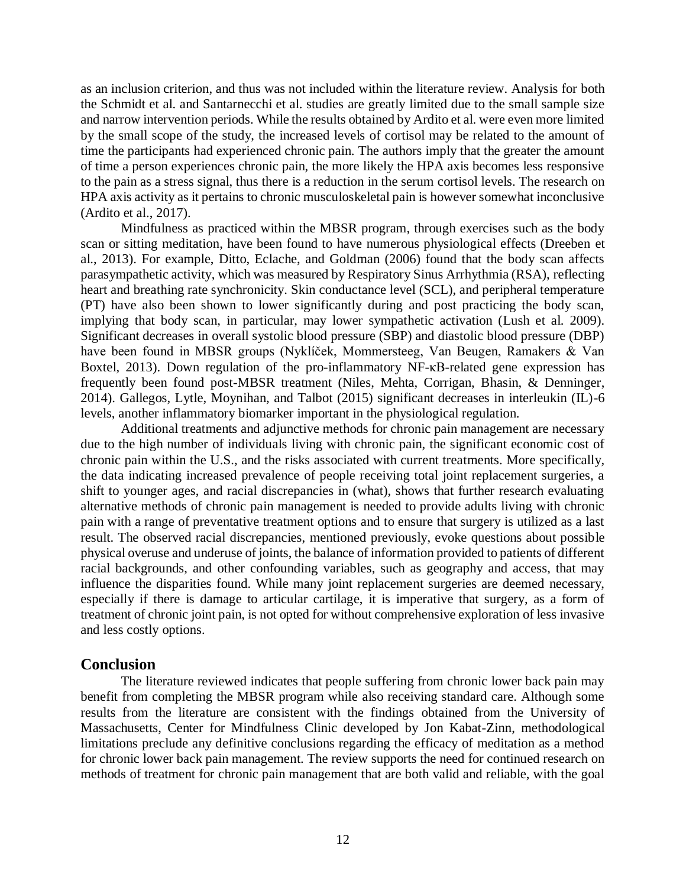as an inclusion criterion, and thus was not included within the literature review. Analysis for both the Schmidt et al. and Santarnecchi et al. studies are greatly limited due to the small sample size and narrow intervention periods. While the results obtained by Ardito et al. were even more limited by the small scope of the study, the increased levels of cortisol may be related to the amount of time the participants had experienced chronic pain. The authors imply that the greater the amount of time a person experiences chronic pain, the more likely the HPA axis becomes less responsive to the pain as a stress signal, thus there is a reduction in the serum cortisol levels. The research on HPA axis activity as it pertains to chronic musculoskeletal pain is however somewhat inconclusive (Ardito et al., 2017).

Mindfulness as practiced within the MBSR program, through exercises such as the body scan or sitting meditation, have been found to have numerous physiological effects (Dreeben et al., 2013). For example, Ditto, Eclache, and Goldman (2006) found that the body scan affects parasympathetic activity, which was measured by Respiratory Sinus Arrhythmia (RSA), reflecting heart and breathing rate synchronicity. Skin conductance level (SCL), and peripheral temperature (PT) have also been shown to lower significantly during and post practicing the body scan, implying that body scan, in particular, may lower sympathetic activation (Lush et al. 2009). Significant decreases in overall systolic blood pressure (SBP) and diastolic blood pressure (DBP) have been found in MBSR groups (Nyklíček, Mommersteeg, Van Beugen, Ramakers & Van Boxtel, 2013). Down regulation of the pro-inflammatory NF-κB-related gene expression has frequently been found post-MBSR treatment (Niles, Mehta, Corrigan, Bhasin, & Denninger, 2014). Gallegos, Lytle, Moynihan, and Talbot (2015) significant decreases in interleukin (IL)-6 levels, another inflammatory biomarker important in the physiological regulation.

Additional treatments and adjunctive methods for chronic pain management are necessary due to the high number of individuals living with chronic pain, the significant economic cost of chronic pain within the U.S., and the risks associated with current treatments. More specifically, the data indicating increased prevalence of people receiving total joint replacement surgeries, a shift to younger ages, and racial discrepancies in (what), shows that further research evaluating alternative methods of chronic pain management is needed to provide adults living with chronic pain with a range of preventative treatment options and to ensure that surgery is utilized as a last result. The observed racial discrepancies, mentioned previously, evoke questions about possible physical overuse and underuse of joints, the balance of information provided to patients of different racial backgrounds, and other confounding variables, such as geography and access, that may influence the disparities found. While many joint replacement surgeries are deemed necessary, especially if there is damage to articular cartilage, it is imperative that surgery, as a form of treatment of chronic joint pain, is not opted for without comprehensive exploration of less invasive and less costly options.

## **Conclusion**

The literature reviewed indicates that people suffering from chronic lower back pain may benefit from completing the MBSR program while also receiving standard care. Although some results from the literature are consistent with the findings obtained from the University of Massachusetts, Center for Mindfulness Clinic developed by Jon Kabat-Zinn, methodological limitations preclude any definitive conclusions regarding the efficacy of meditation as a method for chronic lower back pain management. The review supports the need for continued research on methods of treatment for chronic pain management that are both valid and reliable, with the goal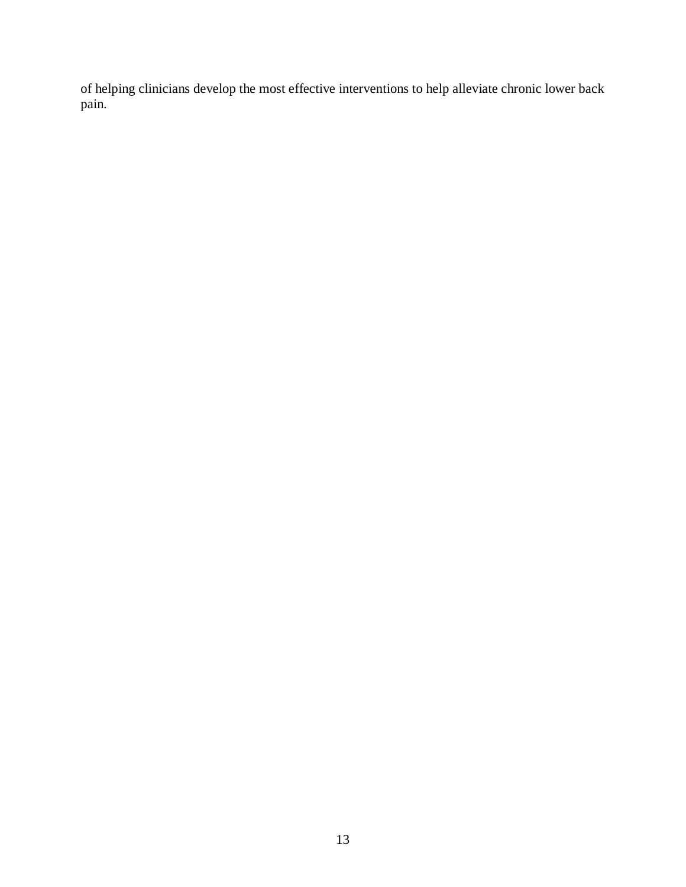of helping clinicians develop the most effective interventions to help alleviate chronic lower back pain.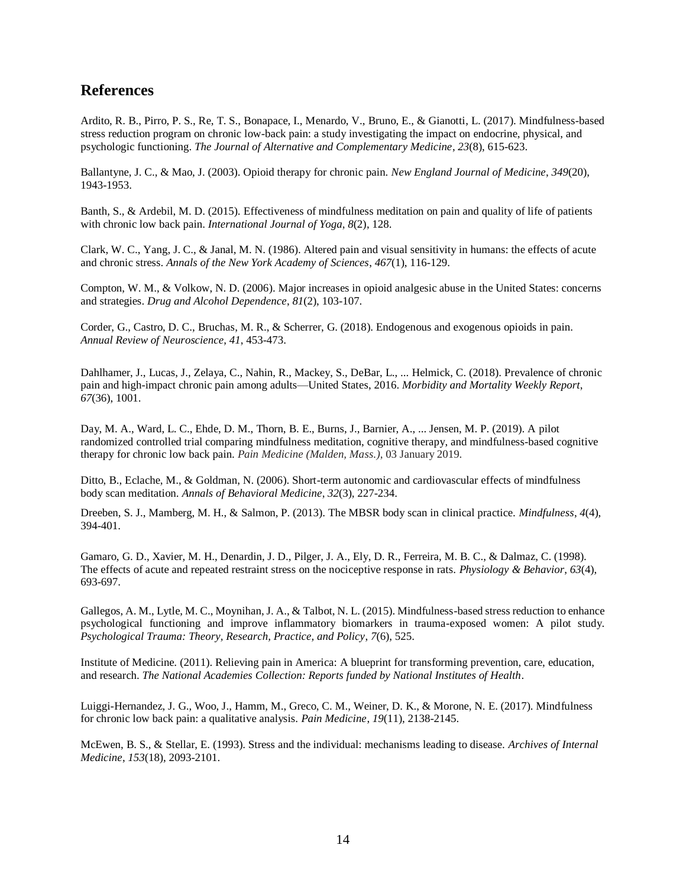## **References**

Ardito, R. B., Pirro, P. S., Re, T. S., Bonapace, I., Menardo, V., Bruno, E., & Gianotti, L. (2017). Mindfulness-based stress reduction program on chronic low-back pain: a study investigating the impact on endocrine, physical, and psychologic functioning. *The Journal of Alternative and Complementary Medicine*, *23*(8), 615-623.

Ballantyne, J. C., & Mao, J. (2003). Opioid therapy for chronic pain. *New England Journal of Medicine*, *349*(20), 1943-1953.

Banth, S., & Ardebil, M. D. (2015). Effectiveness of mindfulness meditation on pain and quality of life of patients with chronic low back pain. *International Journal of Yoga*, *8*(2), 128.

Clark, W. C., Yang, J. C., & Janal, M. N. (1986). Altered pain and visual sensitivity in humans: the effects of acute and chronic stress. *Annals of the New York Academy of Sciences*, *467*(1), 116-129.

Compton, W. M., & Volkow, N. D. (2006). Major increases in opioid analgesic abuse in the United States: concerns and strategies. *Drug and Alcohol Dependence*, *81*(2), 103-107.

Corder, G., Castro, D. C., Bruchas, M. R., & Scherrer, G. (2018). Endogenous and exogenous opioids in pain. *Annual Review of Neuroscience*, *41*, 453-473.

Dahlhamer, J., Lucas, J., Zelaya, C., Nahin, R., Mackey, S., DeBar, L., ... Helmick, C. (2018). Prevalence of chronic pain and high-impact chronic pain among adults—United States, 2016. *Morbidity and Mortality Weekly Report*, *67*(36), 1001.

Day, M. A., Ward, L. C., Ehde, D. M., Thorn, B. E., Burns, J., Barnier, A., ... Jensen, M. P. (2019). A pilot randomized controlled trial comparing mindfulness meditation, cognitive therapy, and mindfulness-based cognitive therapy for chronic low back pain. *Pain Medicine (Malden, Mass.)*, 03 January 2019.

Ditto, B., Eclache, M., & Goldman, N. (2006). Short-term autonomic and cardiovascular effects of mindfulness body scan meditation. *Annals of Behavioral Medicine*, *32*(3), 227-234.

Dreeben, S. J., Mamberg, M. H., & Salmon, P. (2013). The MBSR body scan in clinical practice. *Mindfulness*, *4*(4), 394-401.

Gamaro, G. D., Xavier, M. H., Denardin, J. D., Pilger, J. A., Ely, D. R., Ferreira, M. B. C., & Dalmaz, C. (1998). The effects of acute and repeated restraint stress on the nociceptive response in rats. *Physiology & Behavior*, *63*(4), 693-697.

Gallegos, A. M., Lytle, M. C., Moynihan, J. A., & Talbot, N. L. (2015). Mindfulness-based stress reduction to enhance psychological functioning and improve inflammatory biomarkers in trauma-exposed women: A pilot study. *Psychological Trauma: Theory, Research, Practice, and Policy*, *7*(6), 525.

Institute of Medicine. (2011). Relieving pain in America: A blueprint for transforming prevention, care, education, and research. *The National Academies Collection: Reports funded by National Institutes of Health*.

Luiggi-Hernandez, J. G., Woo, J., Hamm, M., Greco, C. M., Weiner, D. K., & Morone, N. E. (2017). Mindfulness for chronic low back pain: a qualitative analysis. *Pain Medicine*, *19*(11), 2138-2145.

McEwen, B. S., & Stellar, E. (1993). Stress and the individual: mechanisms leading to disease. *Archives of Internal Medicine*, *153*(18), 2093-2101.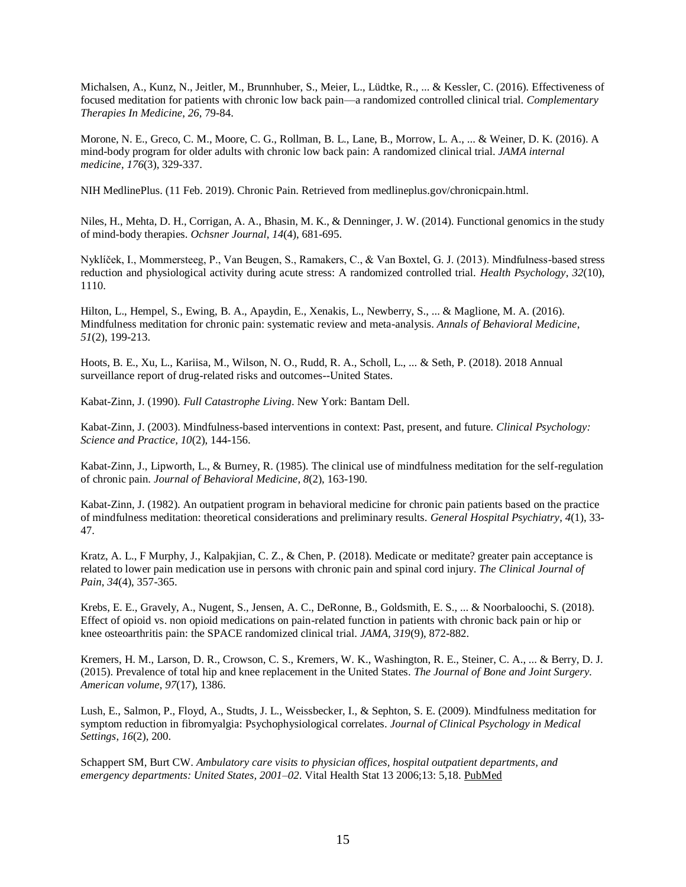Michalsen, A., Kunz, N., Jeitler, M., Brunnhuber, S., Meier, L., Lüdtke, R., ... & Kessler, C. (2016). Effectiveness of focused meditation for patients with chronic low back pain—a randomized controlled clinical trial. *Complementary Therapies In Medicine*, *26*, 79-84.

Morone, N. E., Greco, C. M., Moore, C. G., Rollman, B. L., Lane, B., Morrow, L. A., ... & Weiner, D. K. (2016). A mind-body program for older adults with chronic low back pain: A randomized clinical trial. *JAMA internal medicine*, *176*(3), 329-337.

NIH MedlinePlus. (11 Feb. 2019). Chronic Pain. Retrieved from medlineplus.gov/chronicpain.html.

Niles, H., Mehta, D. H., Corrigan, A. A., Bhasin, M. K., & Denninger, J. W. (2014). Functional genomics in the study of mind-body therapies. *Ochsner Journal*, *14*(4), 681-695.

Nyklíček, I., Mommersteeg, P., Van Beugen, S., Ramakers, C., & Van Boxtel, G. J. (2013). Mindfulness-based stress reduction and physiological activity during acute stress: A randomized controlled trial. *Health Psychology*, *32*(10), 1110.

Hilton, L., Hempel, S., Ewing, B. A., Apaydin, E., Xenakis, L., Newberry, S., ... & Maglione, M. A. (2016). Mindfulness meditation for chronic pain: systematic review and meta-analysis. *Annals of Behavioral Medicine*, *51*(2), 199-213.

Hoots, B. E., Xu, L., Kariisa, M., Wilson, N. O., Rudd, R. A., Scholl, L., ... & Seth, P. (2018). 2018 Annual surveillance report of drug-related risks and outcomes--United States.

Kabat-Zinn, J. (1990). *Full Catastrophe Living*. New York: Bantam Dell.

Kabat-Zinn, J. (2003). Mindfulness-based interventions in context: Past, present, and future*. Clinical Psychology: Science and Practice, 10*(2), 144-156.

Kabat-Zinn, J., Lipworth, L., & Burney, R. (1985). The clinical use of mindfulness meditation for the self-regulation of chronic pain. *Journal of Behavioral Medicine*, *8*(2), 163-190.

Kabat-Zinn, J. (1982). An outpatient program in behavioral medicine for chronic pain patients based on the practice of mindfulness meditation: theoretical considerations and preliminary results. *General Hospital Psychiatry*, *4*(1), 33- 47.

Kratz, A. L., F Murphy, J., Kalpakjian, C. Z., & Chen, P. (2018). Medicate or meditate? greater pain acceptance is related to lower pain medication use in persons with chronic pain and spinal cord injury. *The Clinical Journal of Pain*, *34*(4), 357-365.

Krebs, E. E., Gravely, A., Nugent, S., Jensen, A. C., DeRonne, B., Goldsmith, E. S., ... & Noorbaloochi, S. (2018). Effect of opioid vs. non opioid medications on pain-related function in patients with chronic back pain or hip or knee osteoarthritis pain: the SPACE randomized clinical trial. *JAMA, 319*(9), 872-882.

Kremers, H. M., Larson, D. R., Crowson, C. S., Kremers, W. K., Washington, R. E., Steiner, C. A., ... & Berry, D. J. (2015). Prevalence of total hip and knee replacement in the United States. *The Journal of Bone and Joint Surgery. American volume*, *97*(17), 1386.

Lush, E., Salmon, P., Floyd, A., Studts, J. L., Weissbecker, I., & Sephton, S. E. (2009). Mindfulness meditation for symptom reduction in fibromyalgia: Psychophysiological correlates. *Journal of Clinical Psychology in Medical Settings*, *16*(2), 200.

Schappert SM, Burt CW. *Ambulatory care visits to physician offices, hospital outpatient departments, and emergency departments: United States, 2001–02*. Vital Health Stat 13 2006;13: 5,18. [PubMed](http://www.ncbi.nlm.nih.gov/pubmed/16471269)